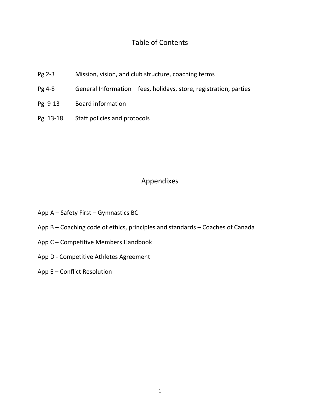### Table of Contents

- Pg 2-3 Mission, vision, and club structure, coaching terms
- Pg 4-8 General Information fees, holidays, store, registration, parties
- Pg 9-13 Board information
- Pg 13-18 Staff policies and protocols

### Appendixes

- App A Safety First Gymnastics BC
- App B Coaching code of ethics, principles and standards Coaches of Canada
- App C Competitive Members Handbook
- App D Competitive Athletes Agreement
- App E Conflict Resolution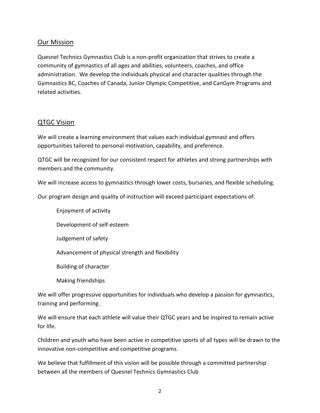### **Our Mission**

Quesnel Technics Gymnastics Club is a non-profit organization that strives to create a community of gymnastics of all ages and abilities, volunteers, coaches, and office administration. We develop the individuals physical and character qualities through the Gymnastics BC, Coaches of Canada, Junior Olympic Competitive, and CanGym Programs and related activities.

### QTGC Vision

We will create a learning environment that values each individual gymnast and offers opportunities tailored to personal motivation, capability, and preference.

QTGC will be recognized for our consistent respect for athletes and strong partnerships with members and the community.

We will increase access to gymnastics through lower costs, bursaries, and flexible scheduling.

Our program design and quality of instruction will exceed participant expectations of:

Enjoyment of activity

Development of self-esteem

Judgement of safety

Advancement of physical strength and flexibility

Building of character

Making friendships

We will offer progressive opportunities for individuals who develop a passion for gymnastics, training and performing.

We will ensure that each athlete will value their QTGC years and be inspired to remain active for life.

Children and youth who have been active in competitive sports of all types will be drawn to the innovative non-competitive and competitive programs.

We believe that fulfillment of this vision will be possible through a committed partnership between all the members of Quesnel Technics Gymnastics Club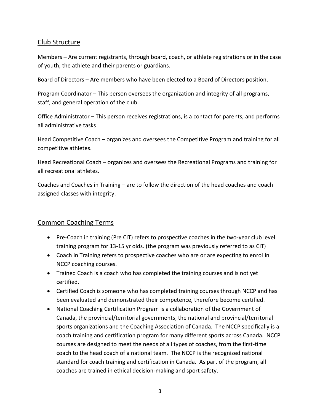### Club Structure

Members – Are current registrants, through board, coach, or athlete registrations or in the case of youth, the athlete and their parents or guardians.

Board of Directors – Are members who have been elected to a Board of Directors position.

Program Coordinator – This person oversees the organization and integrity of all programs, staff, and general operation of the club.

Office Administrator – This person receives registrations, is a contact for parents, and performs all administrative tasks

Head Competitive Coach – organizes and oversees the Competitive Program and training for all competitive athletes.

Head Recreational Coach – organizes and oversees the Recreational Programs and training for all recreational athletes.

Coaches and Coaches in Training – are to follow the direction of the head coaches and coach assigned classes with integrity.

### Common Coaching Terms

- Pre-Coach in training (Pre CIT) refers to prospective coaches in the two-year club level training program for 13-15 yr olds. (the program was previously referred to as CIT)
- Coach in Training refers to prospective coaches who are or are expecting to enrol in NCCP coaching courses.
- Trained Coach is a coach who has completed the training courses and is not yet certified.
- Certified Coach is someone who has completed training courses through NCCP and has been evaluated and demonstrated their competence, therefore become certified.
- National Coaching Certification Program is a collaboration of the Government of Canada, the provincial/territorial governments, the national and provincial/territorial sports organizations and the Coaching Association of Canada. The NCCP specifically is a coach training and certification program for many different sports across Canada. NCCP courses are designed to meet the needs of all types of coaches, from the first-time coach to the head coach of a national team. The NCCP is the recognized national standard for coach training and certification in Canada. As part of the program, all coaches are trained in ethical decision-making and sport safety.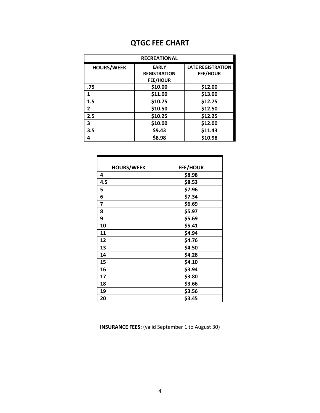# **QTGC FEE CHART**

| <b>RECREATIONAL</b> |                                                        |                                             |  |  |
|---------------------|--------------------------------------------------------|---------------------------------------------|--|--|
| <b>HOURS/WEEK</b>   | <b>EARLY</b><br><b>REGISTRATION</b><br><b>FEE/HOUR</b> | <b>LATE REGISTRATION</b><br><b>FEE/HOUR</b> |  |  |
| .75                 | \$10.00                                                | \$12.00                                     |  |  |
| 1                   | \$11.00                                                | \$13.00                                     |  |  |
| 1.5                 | \$10.75                                                | \$12.75                                     |  |  |
| $\mathbf{2}$        | \$10.50                                                | \$12.50                                     |  |  |
| 2.5                 | \$10.25                                                | \$12.25                                     |  |  |
| 3                   | \$10.00                                                | \$12.00                                     |  |  |
| 3.5                 | \$9.43                                                 | \$11.43                                     |  |  |
| 4                   | \$8.98                                                 | \$10.98                                     |  |  |

| <b>HOURS/WEEK</b> | <b>FEE/HOUR</b> |
|-------------------|-----------------|
| 4                 | \$8.98          |
| 4.5               | \$8.53          |
| 5                 | \$7.96          |
| 6                 | \$7.34          |
| 7                 | \$6.69          |
| 8                 | \$5.97          |
| 9                 | \$5.69          |
| 10                | \$5.41          |
| 11                | \$4.94          |
| 12                | \$4.76          |
| 13                | \$4.50          |
| 14                | \$4.28          |
| 15                | \$4.10          |
| 16                | \$3.94          |
| 17                | \$3.80          |
| 18                | \$3.66          |
| 19                | \$3.56          |
| 20                | \$3.45          |

**INSURANCE FEES:** (valid September 1 to August 30)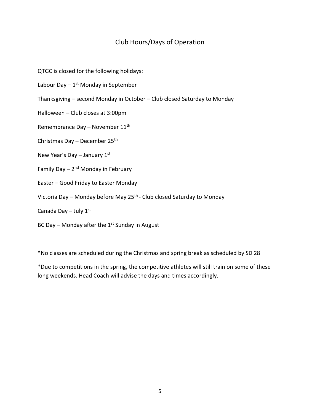### Club Hours/Days of Operation

QTGC is closed for the following holidays:

Labour Day - 1<sup>st</sup> Monday in September

Thanksgiving – second Monday in October – Club closed Saturday to Monday

Halloween – Club closes at 3:00pm

Remembrance Day – November  $11<sup>th</sup>$ 

Christmas Day – December 25th

New Year's Day – January  $1<sup>st</sup>$ 

Family Day – 2<sup>nd</sup> Monday in February

Easter – Good Friday to Easter Monday

Victoria Day – Monday before May 25<sup>th</sup> - Club closed Saturday to Monday

Canada Day – July  $1<sup>st</sup>$ 

BC Day – Monday after the  $1<sup>st</sup>$  Sunday in August

\*No classes are scheduled during the Christmas and spring break as scheduled by SD 28

\*Due to competitions in the spring, the competitive athletes will still train on some of these long weekends. Head Coach will advise the days and times accordingly.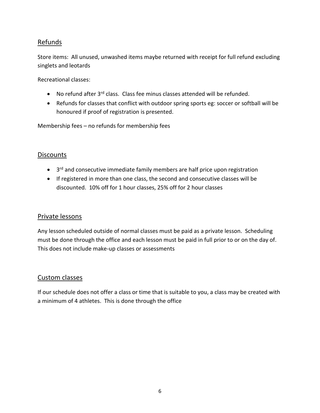### Refunds

Store items: All unused, unwashed items maybe returned with receipt for full refund excluding singlets and leotards

Recreational classes:

- No refund after 3<sup>rd</sup> class. Class fee minus classes attended will be refunded.
- Refunds for classes that conflict with outdoor spring sports eg: soccer or softball will be honoured if proof of registration is presented.

Membership fees – no refunds for membership fees

### **Discounts**

- 3<sup>rd</sup> and consecutive immediate family members are half price upon registration
- If registered in more than one class, the second and consecutive classes will be discounted. 10% off for 1 hour classes, 25% off for 2 hour classes

### Private lessons

Any lesson scheduled outside of normal classes must be paid as a private lesson. Scheduling must be done through the office and each lesson must be paid in full prior to or on the day of. This does not include make-up classes or assessments

### Custom classes

If our schedule does not offer a class or time that is suitable to you, a class may be created with a minimum of 4 athletes. This is done through the office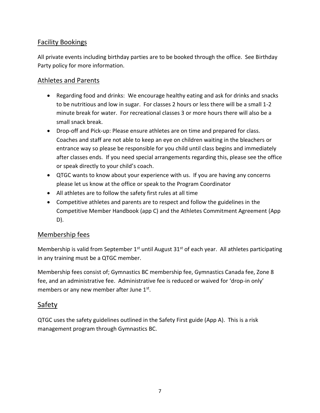### Facility Bookings

All private events including birthday parties are to be booked through the office. See Birthday Party policy for more information.

### Athletes and Parents

- Regarding food and drinks: We encourage healthy eating and ask for drinks and snacks to be nutritious and low in sugar. For classes 2 hours or less there will be a small 1-2 minute break for water. For recreational classes 3 or more hours there will also be a small snack break.
- Drop-off and Pick-up: Please ensure athletes are on time and prepared for class. Coaches and staff are not able to keep an eye on children waiting in the bleachers or entrance way so please be responsible for you child until class begins and immediately after classes ends. If you need special arrangements regarding this, please see the office or speak directly to your child's coach.
- QTGC wants to know about your experience with us. If you are having any concerns please let us know at the office or speak to the Program Coordinator
- All athletes are to follow the safety first rules at all time
- Competitive athletes and parents are to respect and follow the guidelines in the Competitive Member Handbook (app C) and the Athletes Commitment Agreement (App D).

### Membership fees

Membership is valid from September  $1<sup>st</sup>$  until August  $31<sup>st</sup>$  of each year. All athletes participating in any training must be a QTGC member.

Membership fees consist of; Gymnastics BC membership fee, Gymnastics Canada fee, Zone 8 fee, and an administrative fee. Administrative fee is reduced or waived for 'drop-in only' members or any new member after June 1st.

### Safety

QTGC uses the safety guidelines outlined in the Safety First guide (App A). This is a risk management program through Gymnastics BC.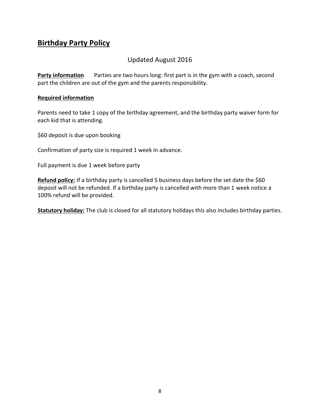## **Birthday Party Policy**

### Updated August 2016

**Party information** Parties are two hours long: first part is in the gym with a coach, second part the children are out of the gym and the parents responsibility.

#### **Required information**

Parents need to take 1 copy of the birthday agreement, and the birthday party waiver form for each kid that is attending.

\$60 deposit is due upon booking

Confirmation of party size is required 1 week in advance.

Full payment is due 1 week before party

Refund policy: If a birthday party is cancelled 5 business days before the set date the \$60 deposit will not be refunded. If a birthday party is cancelled with more than 1 week notice a 100% refund will be provided.

**Statutory holiday:** The club is closed for all statutory holidays this also includes birthday parties.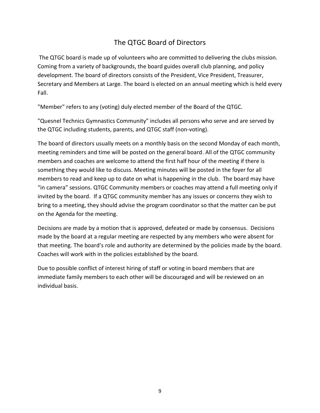## The QTGC Board of Directors

The QTGC board is made up of volunteers who are committed to delivering the clubs mission. Coming from a variety of backgrounds, the board guides overall club planning, and policy development. The board of directors consists of the President, Vice President, Treasurer, Secretary and Members at Large. The board is elected on an annual meeting which is held every Fall.

"Member" refers to any (voting) duly elected member of the Board of the QTGC.

"Quesnel Technics Gymnastics Community" includes all persons who serve and are served by the QTGC including students, parents, and QTGC staff (non-voting).

The board of directors usually meets on a monthly basis on the second Monday of each month, meeting reminders and time will be posted on the general board. All of the QTGC community members and coaches are welcome to attend the first half hour of the meeting if there is something they would like to discuss. Meeting minutes will be posted in the foyer for all members to read and keep up to date on what is happening in the club. The board may have "in camera" sessions. QTGC Community members or coaches may attend a full meeting only if invited by the board. If a QTGC community member has any issues or concerns they wish to bring to a meeting, they should advise the program coordinator so that the matter can be put on the Agenda for the meeting.

Decisions are made by a motion that is approved, defeated or made by consensus. Decisions made by the board at a regular meeting are respected by any members who were absent for that meeting. The board's role and authority are determined by the policies made by the board. Coaches will work with in the policies established by the board.

Due to possible conflict of interest hiring of staff or voting in board members that are immediate family members to each other will be discouraged and will be reviewed on an individual basis.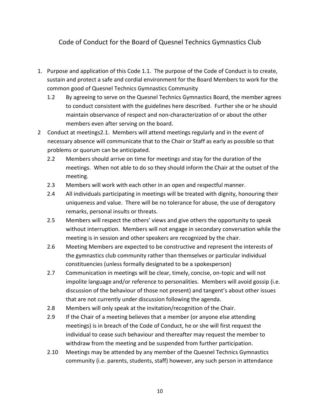### Code of Conduct for the Board of Quesnel Technics Gymnastics Club

- 1. Purpose and application of this Code 1.1. The purpose of the Code of Conduct is to create, sustain and protect a safe and cordial environment for the Board Members to work for the common good of Quesnel Technics Gymnastics Community
	- 1.2 By agreeing to serve on the Quesnel Technics Gymnastics Board, the member agrees to conduct consistent with the guidelines here described. Further she or he should maintain observance of respect and non-characterization of or about the other members even after serving on the board.
- 2 Conduct at meetings2.1. Members will attend meetings regularly and in the event of necessary absence will communicate that to the Chair or Staff as early as possible so that problems or quorum can be anticipated.
	- 2.2 Members should arrive on time for meetings and stay for the duration of the meetings. When not able to do so they should inform the Chair at the outset of the meeting.
	- 2.3 Members will work with each other in an open and respectful manner.
	- 2.4 All individuals participating in meetings will be treated with dignity, honouring their uniqueness and value. There will be no tolerance for abuse, the use of derogatory remarks, personal insults or threats.
	- 2.5 Members will respect the others' views and give others the opportunity to speak without interruption. Members will not engage in secondary conversation while the meeting is in session and other speakers are recognized by the chair.
	- 2.6 Meeting Members are expected to be constructive and represent the interests of the gymnastics club community rather than themselves or particular individual constituencies (unless formally designated to be a spokesperson)
	- 2.7 Communication in meetings will be clear, timely, concise, on-topic and will not impolite language and/or reference to personalities. Members will avoid gossip (i.e. discussion of the behaviour of those not present) and tangent's about other issues that are not currently under discussion following the agenda.
	- 2.8 Members will only speak at the invitation/recognition of the Chair.
	- 2.9 If the Chair of a meeting believes that a member (or anyone else attending meetings) is in breach of the Code of Conduct, he or she will first request the individual to cease such behaviour and thereafter may request the member to withdraw from the meeting and be suspended from further participation.
	- 2.10 Meetings may be attended by any member of the Quesnel Technics Gymnastics community (i.e. parents, students, staff) however, any such person in attendance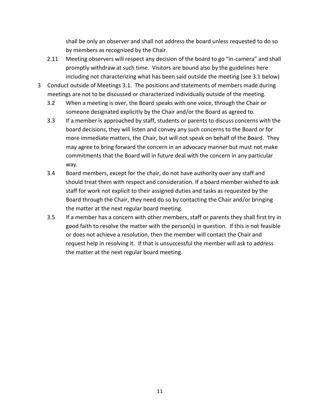shall be only an observer and shall not address the board unless requested to do so by members as recognized by the Chair.

- 2.11 Meeting observers will respect any decision of the board to go "in-camera" and shall promptly withdraw at such time. Visitors are bound also by the guidelines here including not characterizing what has been said outside the meeting (see 3.1 below)
- 3 Conduct outside of Meetings 3.1. The positions and statements of members made during meetings are not to be discussed or characterized individually outside of the meeting.
	- 3.2 When a meeting is over, the Board speaks with one voice, through the Chair or someone designated explicitly by the Chair and/or the Board as agreed to.
	- 3.3 If a member is approached by staff, students or parents to discuss concerns with the board decisions, they will listen and convey any such concerns to the Board or for more immediate matters, the Chair, but will not speak on behalf of the Board. They may agree to bring forward the concern in an advocacy manner but must not make commitments that the Board will in future deal with the concern in any particular way.
	- 3.4 Board members, except for the chair, do not have authority over any staff and should treat them with respect and consideration. If a board member wished to ask staff for work not explicit to their assigned duties and tasks as requested by the Board through the Chair, they need do so by contacting the Chair and/or bringing the matter at the next regular board meeting.
	- 3.5 If a member has a concern with other members, staff or parents they shall first try in good faith to resolve the matter with the person(s) in question. If this is not feasible or does not achieve a resolution, then the member will contact the Chair and request help in resolving it. If that is unsuccessful the member will ask to address the matter at the next regular board meeting.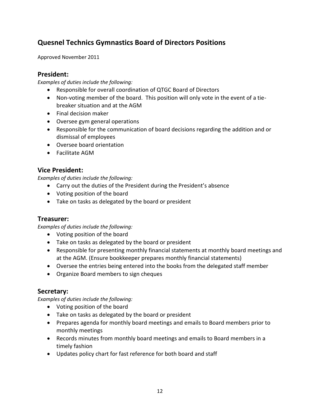## **Quesnel Technics Gymnastics Board of Directors Positions**

Approved November 2011

### **President:**

*Examples of duties include the following:*

- Responsible for overall coordination of QTGC Board of Directors
- Non-voting member of the board. This position will only vote in the event of a tiebreaker situation and at the AGM
- Final decision maker
- Oversee gym general operations
- Responsible for the communication of board decisions regarding the addition and or dismissal of employees
- Oversee board orientation
- Facilitate AGM

### **Vice President:**

*Examples of duties include the following:*

- Carry out the duties of the President during the President's absence
- Voting position of the board
- Take on tasks as delegated by the board or president

### **Treasurer:**

*Examples of duties include the following:*

- Voting position of the board
- Take on tasks as delegated by the board or president
- Responsible for presenting monthly financial statements at monthly board meetings and at the AGM. (Ensure bookkeeper prepares monthly financial statements)
- Oversee the entries being entered into the books from the delegated staff member
- Organize Board members to sign cheques

### **Secretary:**

*Examples of duties include the following:*

- Voting position of the board
- Take on tasks as delegated by the board or president
- Prepares agenda for monthly board meetings and emails to Board members prior to monthly meetings
- Records minutes from monthly board meetings and emails to Board members in a timely fashion
- Updates policy chart for fast reference for both board and staff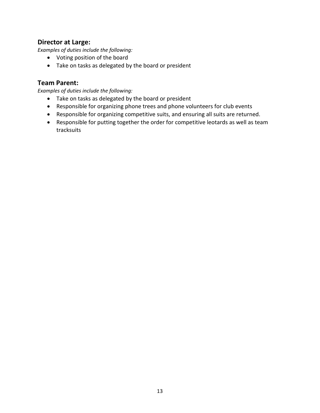### **Director at Large:**

*Examples of duties include the following:*

- Voting position of the board
- Take on tasks as delegated by the board or president

### **Team Parent:**

*Examples of duties include the following:*

- Take on tasks as delegated by the board or president
- Responsible for organizing phone trees and phone volunteers for club events
- Responsible for organizing competitive suits, and ensuring all suits are returned.
- Responsible for putting together the order for competitive leotards as well as team tracksuits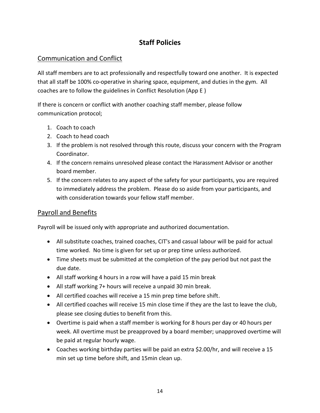## **Staff Policies**

### Communication and Conflict

All staff members are to act professionally and respectfully toward one another. It is expected that all staff be 100% co-operative in sharing space, equipment, and duties in the gym. All coaches are to follow the guidelines in Conflict Resolution (App E )

If there is concern or conflict with another coaching staff member, please follow communication protocol;

- 1. Coach to coach
- 2. Coach to head coach
- 3. If the problem is not resolved through this route, discuss your concern with the Program Coordinator.
- 4. If the concern remains unresolved please contact the Harassment Advisor or another board member.
- 5. If the concern relates to any aspect of the safety for your participants, you are required to immediately address the problem. Please do so aside from your participants, and with consideration towards your fellow staff member.

### Payroll and Benefits

Payroll will be issued only with appropriate and authorized documentation.

- All substitute coaches, trained coaches, CIT's and casual labour will be paid for actual time worked. No time is given for set up or prep time unless authorized.
- Time sheets must be submitted at the completion of the pay period but not past the due date.
- All staff working 4 hours in a row will have a paid 15 min break
- All staff working 7+ hours will receive a unpaid 30 min break.
- All certified coaches will receive a 15 min prep time before shift.
- All certified coaches will receive 15 min close time if they are the last to leave the club, please see closing duties to benefit from this.
- Overtime is paid when a staff member is working for 8 hours per day or 40 hours per week. All overtime must be preapproved by a board member; unapproved overtime will be paid at regular hourly wage.
- Coaches working birthday parties will be paid an extra \$2.00/hr, and will receive a 15 min set up time before shift, and 15min clean up.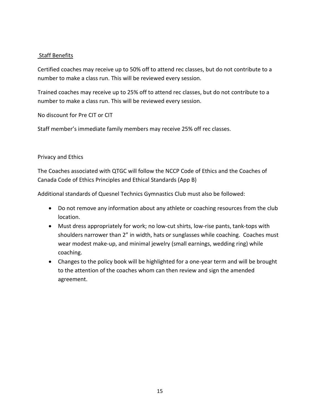#### Staff Benefits

Certified coaches may receive up to 50% off to attend rec classes, but do not contribute to a number to make a class run. This will be reviewed every session.

Trained coaches may receive up to 25% off to attend rec classes, but do not contribute to a number to make a class run. This will be reviewed every session.

No discount for Pre CIT or CIT

Staff member's immediate family members may receive 25% off rec classes.

#### Privacy and Ethics

The Coaches associated with QTGC will follow the NCCP Code of Ethics and the Coaches of Canada Code of Ethics Principles and Ethical Standards (App B)

Additional standards of Quesnel Technics Gymnastics Club must also be followed:

- Do not remove any information about any athlete or coaching resources from the club location.
- Must dress appropriately for work; no low-cut shirts, low-rise pants, tank-tops with shoulders narrower than 2" in width, hats or sunglasses while coaching. Coaches must wear modest make-up, and minimal jewelry (small earnings, wedding ring) while coaching.
- Changes to the policy book will be highlighted for a one-year term and will be brought to the attention of the coaches whom can then review and sign the amended agreement.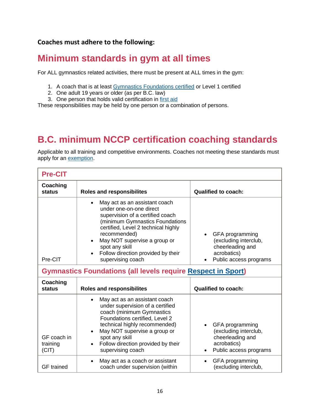### **Coaches must adhere to the following:**

# **Minimum standards in gym at all times**

For ALL gymnastics related activities, there must be present at ALL times in the gym:

- 1. A coach that is at least Gymnastics [Foundations](http://www.gymbc.org/nccp-gymnastics-foundations-info) certified or Level 1 certified
- 2. One adult 19 years or older (as per B.C. law)
- 3. One person that holds valid certification in [first](http://www.gymbc.org/first-aid) aid

These responsibilities may be held by one person or a combination of persons.

# **B.C. minimum NCCP certification coaching standards**

Applicable to all training and competitive environments. Coaches not meeting these standards must apply for an [exemption.](http://www.gymbc.org/nccp-equivalency-exemptions?NSWAT_url=nccp-equivalency-exemptions)

| <b>Pre-CIT</b>                                                      |                                                                                                                                                                                                                                                                                                                               |                                                                                                                    |  |  |
|---------------------------------------------------------------------|-------------------------------------------------------------------------------------------------------------------------------------------------------------------------------------------------------------------------------------------------------------------------------------------------------------------------------|--------------------------------------------------------------------------------------------------------------------|--|--|
| Coaching<br>status                                                  | <b>Roles and responsibilites</b>                                                                                                                                                                                                                                                                                              | <b>Qualified to coach:</b>                                                                                         |  |  |
| Pre-CIT                                                             | May act as an assistant coach<br>$\bullet$<br>under one-on-one direct<br>supervision of a certified coach<br>(minimum Gymnastics Foundations<br>certified, Level 2 technical highly<br>recommended)<br>May NOT supervise a group or<br>$\bullet$<br>spot any skill<br>Follow direction provided by their<br>supervising coach | GFA programming<br>$\bullet$<br>(excluding interclub,<br>cheerleading and<br>acrobatics)<br>Public access programs |  |  |
| <b>Gymnastics Foundations (all levels require Respect in Sport)</b> |                                                                                                                                                                                                                                                                                                                               |                                                                                                                    |  |  |
| Coaching<br><b>status</b>                                           | <b>Roles and responsibilites</b>                                                                                                                                                                                                                                                                                              | <b>Qualified to coach:</b>                                                                                         |  |  |
| GF coach in<br>training<br>(CIT)                                    | May act as an assistant coach<br>$\bullet$<br>under supervision of a certified<br>coach (minimum Gymnastics<br>Foundations certified, Level 2<br>technical highly recommended)<br>May NOT supervise a group or<br>spot any skill<br>Follow direction provided by their<br>supervising coach                                   | GFA programming<br>(excluding interclub,<br>cheerleading and<br>acrobatics)<br>Public access programs              |  |  |
| <b>GF</b> trained                                                   | May act as a coach or assistant<br>coach under supervision (within                                                                                                                                                                                                                                                            | GFA programming<br>(excluding interclub,                                                                           |  |  |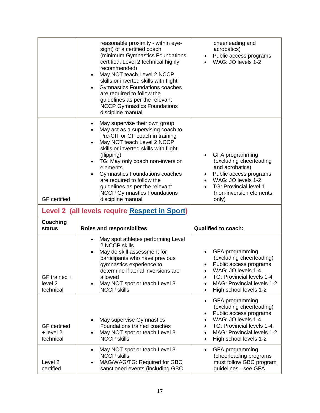|                                                 | reasonable proximity - within eye-<br>sight) of a certified coach<br>(minimum Gymnastics Foundations<br>certified, Level 2 technical highly<br>recommended)<br>May NOT teach Level 2 NCCP<br>$\bullet$<br>skills or inverted skills with flight<br>Gymnastics Foundations coaches<br>$\bullet$<br>are required to follow the<br>guidelines as per the relevant<br><b>NCCP Gymnastics Foundations</b><br>discipline manual                                                       | cheerleading and<br>acrobatics)<br>Public access programs<br>$\bullet$<br>WAG: JO levels 1-2                                                                                                                                                           |  |  |
|-------------------------------------------------|---------------------------------------------------------------------------------------------------------------------------------------------------------------------------------------------------------------------------------------------------------------------------------------------------------------------------------------------------------------------------------------------------------------------------------------------------------------------------------|--------------------------------------------------------------------------------------------------------------------------------------------------------------------------------------------------------------------------------------------------------|--|--|
| <b>GF</b> certified                             | May supervise their own group<br>$\bullet$<br>May act as a supervising coach to<br>$\bullet$<br>Pre-CIT or GF coach in training<br>May NOT teach Level 2 NCCP<br>$\bullet$<br>skills or inverted skills with flight<br>(flipping)<br>TG: May only coach non-inversion<br>$\bullet$<br>elements<br><b>Gymnastics Foundations coaches</b><br>$\bullet$<br>are required to follow the<br>guidelines as per the relevant<br><b>NCCP Gymnastics Foundations</b><br>discipline manual | GFA programming<br>(excluding cheerleading<br>and acrobatics)<br>Public access programs<br>$\bullet$<br>WAG: JO levels 1-2<br>TG: Provincial level 1<br>(non-inversion elements<br>only)                                                               |  |  |
| Level 2 (all levels require Respect in Sport)   |                                                                                                                                                                                                                                                                                                                                                                                                                                                                                 |                                                                                                                                                                                                                                                        |  |  |
| Coaching<br>status                              | <b>Roles and responsibilites</b>                                                                                                                                                                                                                                                                                                                                                                                                                                                | <b>Qualified to coach:</b>                                                                                                                                                                                                                             |  |  |
| GF trained +<br>level <sub>2</sub><br>technical | May spot athletes performing Level<br>$\bullet$<br>2 NCCP skills<br>May do skill assessment for<br>$\bullet$<br>participants who have previous<br>gymnastics experience to<br>determine if aerial inversions are<br>allowed<br>May NOT spot or teach Level 3<br><b>NCCP skills</b>                                                                                                                                                                                              | GFA programming<br>(excluding cheerleading)<br>Public access programs<br>WAG: JO levels 1-4<br>TG: Provincial levels 1-4<br><b>MAG: Provincial levels 1-2</b><br>High school levels 1-2<br>$\bullet$                                                   |  |  |
| <b>GF</b> certified<br>+ level 2<br>technical   | May supervise Gymnastics<br>$\bullet$<br>Foundations trained coaches<br>May NOT spot or teach Level 3<br>$\bullet$<br><b>NCCP skills</b>                                                                                                                                                                                                                                                                                                                                        | GFA programming<br>$\bullet$<br>(excluding cheerleading)<br>Public access programs<br>٠<br>WAG: JO levels 1-4<br>$\bullet$<br>TG: Provincial levels 1-4<br>$\bullet$<br>MAG: Provincial levels 1-2<br>$\bullet$<br>High school levels 1-2<br>$\bullet$ |  |  |
| Level <sub>2</sub>                              | May NOT spot or teach Level 3<br>$\bullet$<br><b>NCCP skills</b><br>MAG/WAG/TG: Required for GBC<br>$\bullet$                                                                                                                                                                                                                                                                                                                                                                   | GFA programming<br>$\bullet$<br>(cheerleading programs<br>must follow GBC program                                                                                                                                                                      |  |  |